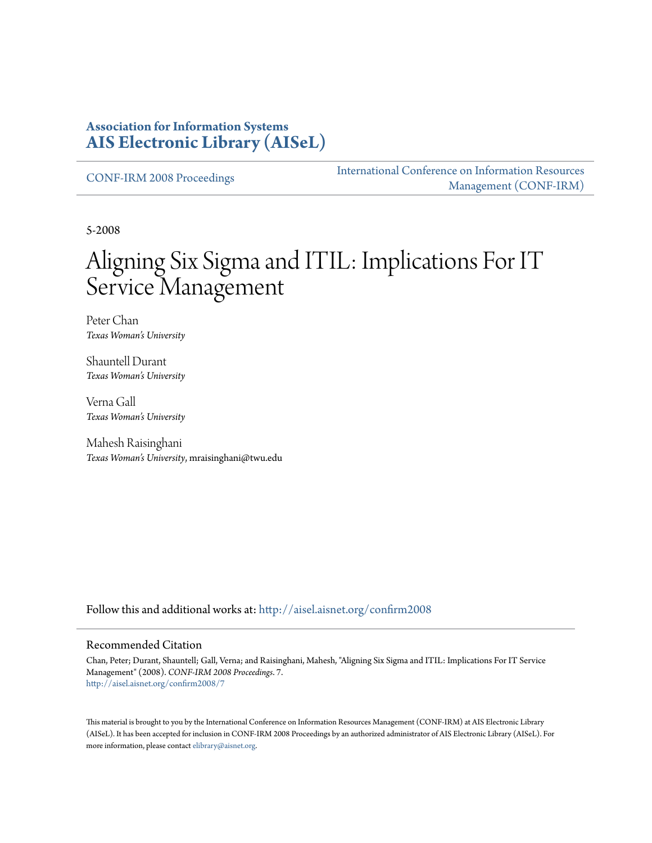#### **Association for Information Systems [AIS Electronic Library \(AISeL\)](http://aisel.aisnet.org?utm_source=aisel.aisnet.org%2Fconfirm2008%2F7&utm_medium=PDF&utm_campaign=PDFCoverPages)**

[CONF-IRM 2008 Proceedings](http://aisel.aisnet.org/confirm2008?utm_source=aisel.aisnet.org%2Fconfirm2008%2F7&utm_medium=PDF&utm_campaign=PDFCoverPages)

[International Conference on Information Resources](http://aisel.aisnet.org/conf-irm?utm_source=aisel.aisnet.org%2Fconfirm2008%2F7&utm_medium=PDF&utm_campaign=PDFCoverPages) [Management \(CONF-IRM\)](http://aisel.aisnet.org/conf-irm?utm_source=aisel.aisnet.org%2Fconfirm2008%2F7&utm_medium=PDF&utm_campaign=PDFCoverPages)

5-2008

# Aligning Six Sigma and ITIL: Implications For IT Service Management

Peter Chan *Texas Woman's University*

Shauntell Durant *Texas Woman's University*

Verna Gall *Texas Woman's University*

Mahesh Raisinghani *Texas Woman's University*, mraisinghani@twu.edu

Follow this and additional works at: [http://aisel.aisnet.org/confirm2008](http://aisel.aisnet.org/confirm2008?utm_source=aisel.aisnet.org%2Fconfirm2008%2F7&utm_medium=PDF&utm_campaign=PDFCoverPages)

#### Recommended Citation

Chan, Peter; Durant, Shauntell; Gall, Verna; and Raisinghani, Mahesh, "Aligning Six Sigma and ITIL: Implications For IT Service Management" (2008). *CONF-IRM 2008 Proceedings*. 7. [http://aisel.aisnet.org/confirm2008/7](http://aisel.aisnet.org/confirm2008/7?utm_source=aisel.aisnet.org%2Fconfirm2008%2F7&utm_medium=PDF&utm_campaign=PDFCoverPages)

This material is brought to you by the International Conference on Information Resources Management (CONF-IRM) at AIS Electronic Library (AISeL). It has been accepted for inclusion in CONF-IRM 2008 Proceedings by an authorized administrator of AIS Electronic Library (AISeL). For more information, please contact [elibrary@aisnet.org.](mailto:elibrary@aisnet.org%3E)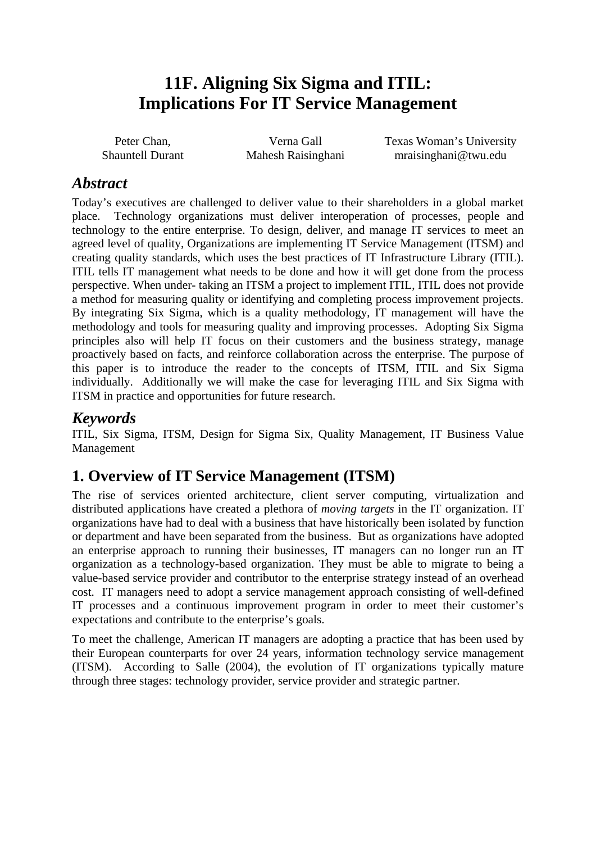## **11F. Aligning Six Sigma and ITIL: Implications For IT Service Management**

| Peter Chan,             |   |
|-------------------------|---|
| <b>Shauntell Durant</b> | M |

Verna Gall ahesh Raisinghani Texas Woman's University mraisinghani@twu.edu

### *Abstract*

Today's executives are challenged to deliver value to their shareholders in a global market place. Technology organizations must deliver interoperation of processes, people and technology to the entire enterprise. To design, deliver, and manage IT services to meet an agreed level of quality, Organizations are implementing IT Service Management (ITSM) and creating quality standards, which uses the best practices of IT Infrastructure Library (ITIL). ITIL tells IT management what needs to be done and how it will get done from the process perspective. When under- taking an ITSM a project to implement ITIL, ITIL does not provide a method for measuring quality or identifying and completing process improvement projects. By integrating Six Sigma, which is a quality methodology, IT management will have the methodology and tools for measuring quality and improving processes. Adopting Six Sigma principles also will help IT focus on their customers and the business strategy, manage proactively based on facts, and reinforce collaboration across the enterprise. The purpose of this paper is to introduce the reader to the concepts of ITSM, ITIL and Six Sigma individually. Additionally we will make the case for leveraging ITIL and Six Sigma with ITSM in practice and opportunities for future research.

### *Keywords*

ITIL, Six Sigma, ITSM, Design for Sigma Six, Quality Management, IT Business Value Management

### **1. Overview of IT Service Management (ITSM)**

The rise of services oriented architecture, client server computing, virtualization and distributed applications have created a plethora of *moving targets* in the IT organization. IT organizations have had to deal with a business that have historically been isolated by function or department and have been separated from the business. But as organizations have adopted an enterprise approach to running their businesses, IT managers can no longer run an IT organization as a technology-based organization. They must be able to migrate to being a value-based service provider and contributor to the enterprise strategy instead of an overhead cost. IT managers need to adopt a service management approach consisting of well-defined IT processes and a continuous improvement program in order to meet their customer's expectations and contribute to the enterprise's goals.

To meet the challenge, American IT managers are adopting a practice that has been used by their European counterparts for over 24 years, information technology service management (ITSM). According to Salle (2004), the evolution of IT organizations typically mature through three stages: technology provider, service provider and strategic partner.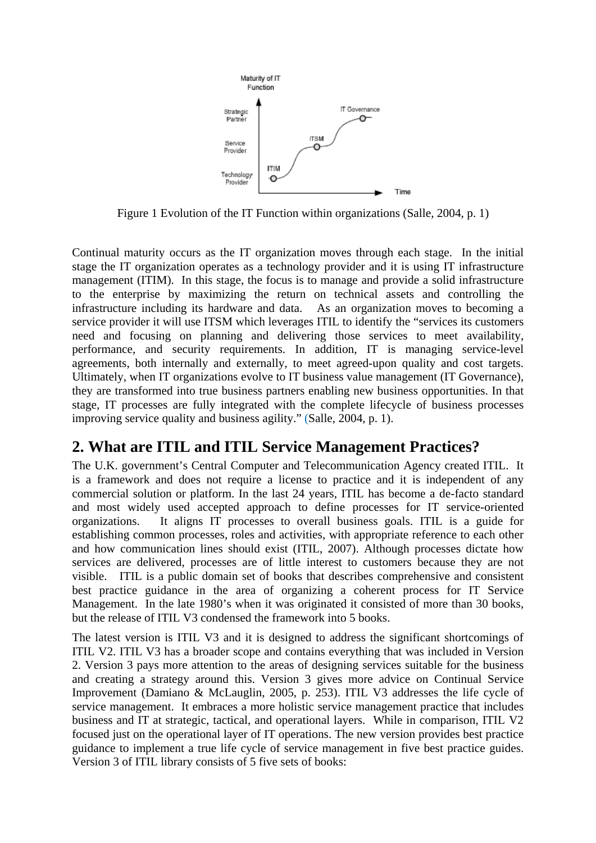

Figure 1 Evolution of the IT Function within organizations (Salle, 2004, p. 1)

Continual maturity occurs as the IT organization moves through each stage. In the initial stage the IT organization operates as a technology provider and it is using IT infrastructure management (ITIM). In this stage, the focus is to manage and provide a solid infrastructure to the enterprise by maximizing the return on technical assets and controlling the infrastructure including its hardware and data. As an organization moves to becoming a service provider it will use ITSM which leverages ITIL to identify the "services its customers need and focusing on planning and delivering those services to meet availability, performance, and security requirements. In addition, IT is managing service-level agreements, both internally and externally, to meet agreed-upon quality and cost targets. Ultimately, when IT organizations evolve to IT business value management (IT Governance), they are transformed into true business partners enabling new business opportunities. In that stage, IT processes are fully integrated with the complete lifecycle of business processes improving service quality and business agility." (Salle, 2004, p. 1).

### **2. What are ITIL and ITIL Service Management Practices?**

The U.K. government's Central Computer and Telecommunication Agency created ITIL. It is a framework and does not require a license to practice and it is independent of any commercial solution or platform. In the last 24 years, ITIL has become a de-facto standard and most widely used accepted approach to define processes for IT service-oriented organizations. It aligns IT processes to overall business goals. ITIL is a guide for establishing common processes, roles and activities, with appropriate reference to each other and how communication lines should exist (ITIL, 2007). Although processes dictate how services are delivered, processes are of little interest to customers because they are not visible. ITIL is a public domain set of books that describes comprehensive and consistent best practice guidance in the area of organizing a coherent process for IT Service Management. In the late 1980's when it was originated it consisted of more than 30 books, but the release of ITIL V3 condensed the framework into 5 books.

The latest version is ITIL V3 and it is designed to address the significant shortcomings of ITIL V2. ITIL V3 has a broader scope and contains everything that was included in Version 2. Version 3 pays more attention to the areas of designing services suitable for the business and creating a strategy around this. Version 3 gives more advice on Continual Service Improvement (Damiano & McLauglin, 2005, p. 253). ITIL V3 addresses the life cycle of service management. It embraces a more holistic service management practice that includes business and IT at strategic, tactical, and operational layers. While in comparison, ITIL V2 focused just on the operational layer of IT operations. The new version provides best practice guidance to implement a true life cycle of service management in five best practice guides. Version 3 of ITIL library consists of 5 five sets of books: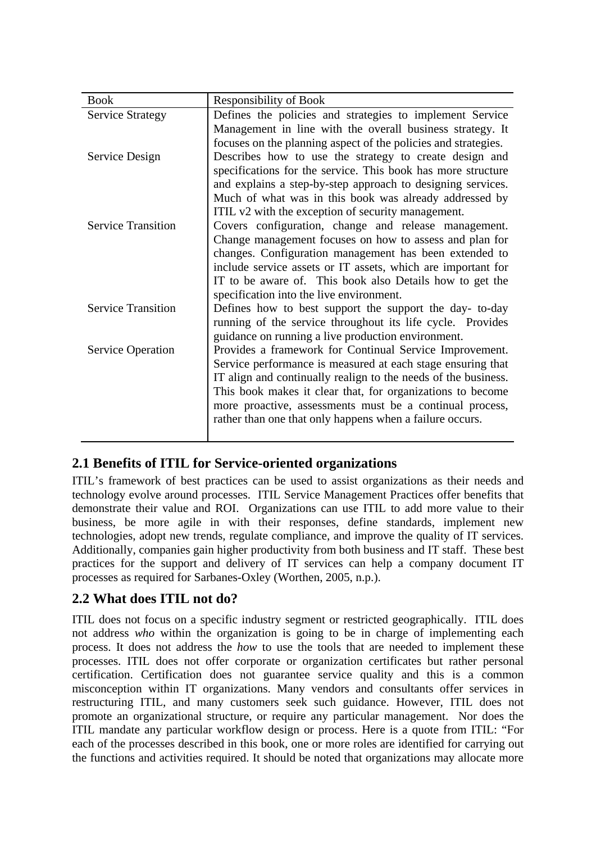| <b>Book</b>               | <b>Responsibility of Book</b>                                                                                          |
|---------------------------|------------------------------------------------------------------------------------------------------------------------|
| <b>Service Strategy</b>   | Defines the policies and strategies to implement Service                                                               |
|                           | Management in line with the overall business strategy. It                                                              |
|                           | focuses on the planning aspect of the policies and strategies.                                                         |
| Service Design            | Describes how to use the strategy to create design and                                                                 |
|                           | specifications for the service. This book has more structure                                                           |
|                           | and explains a step-by-step approach to designing services.                                                            |
|                           | Much of what was in this book was already addressed by                                                                 |
|                           | ITIL v2 with the exception of security management.                                                                     |
| <b>Service Transition</b> | Covers configuration, change and release management.                                                                   |
|                           | Change management focuses on how to assess and plan for                                                                |
|                           | changes. Configuration management has been extended to                                                                 |
|                           | include service assets or IT assets, which are important for                                                           |
|                           | IT to be aware of. This book also Details how to get the                                                               |
|                           | specification into the live environment.                                                                               |
| <b>Service Transition</b> | Defines how to best support the support the day-to-day                                                                 |
|                           | running of the service throughout its life cycle. Provides                                                             |
|                           | guidance on running a live production environment.                                                                     |
| <b>Service Operation</b>  | Provides a framework for Continual Service Improvement.                                                                |
|                           | Service performance is measured at each stage ensuring that                                                            |
|                           | IT align and continually realign to the needs of the business.                                                         |
|                           | This book makes it clear that, for organizations to become<br>more proactive, assessments must be a continual process, |
|                           | rather than one that only happens when a failure occurs.                                                               |
|                           |                                                                                                                        |

### **2.1 Benefits of ITIL for Service-oriented organizations**

ITIL's framework of best practices can be used to assist organizations as their needs and technology evolve around processes. ITIL Service Management Practices offer benefits that demonstrate their value and ROI. Organizations can use ITIL to add more value to their business, be more agile in with their responses, define standards, implement new technologies, adopt new trends, regulate compliance, and improve the quality of IT services. Additionally, companies gain higher productivity from both business and IT staff. These best practices for the support and delivery of IT services can help a company document IT processes as required for Sarbanes-Oxley (Worthen, 2005, n.p.).

### **2.2 What does ITIL not do?**

ITIL does not focus on a specific industry segment or restricted geographically. ITIL does not address *who* within the organization is going to be in charge of implementing each process. It does not address the *how* to use the tools that are needed to implement these processes. ITIL does not offer corporate or organization certificates but rather personal certification. Certification does not guarantee service quality and this is a common misconception within IT organizations. Many vendors and consultants offer services in restructuring ITIL, and many customers seek such guidance. However, ITIL does not promote an organizational structure, or require any particular management. Nor does the ITIL mandate any particular workflow design or process. Here is a quote from ITIL: "For each of the processes described in this book, one or more roles are identified for carrying out the functions and activities required. It should be noted that organizations may allocate more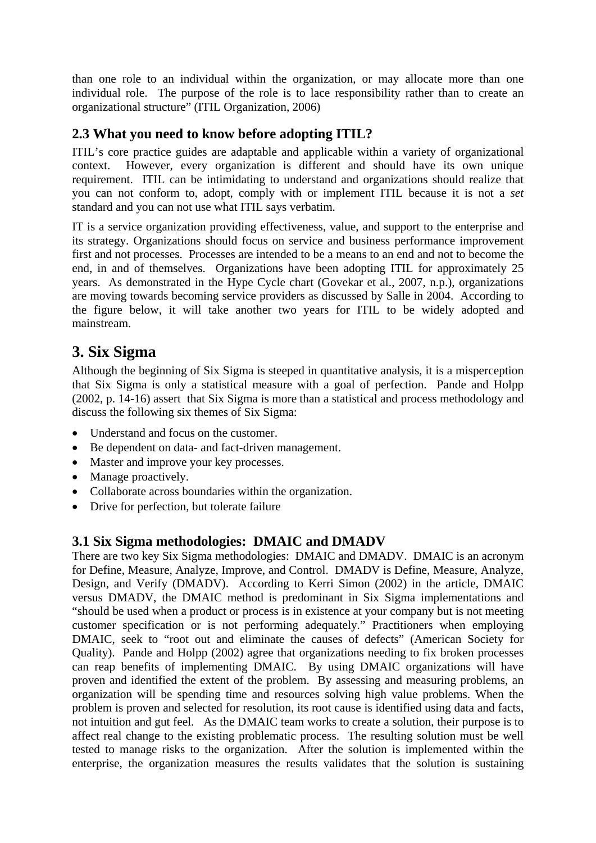than one role to an individual within the organization, or may allocate more than one individual role. The purpose of the role is to lace responsibility rather than to create an organizational structure" (ITIL Organization, 2006)

#### **2.3 What you need to know before adopting ITIL?**

ITIL's core practice guides are adaptable and applicable within a variety of organizational context. However, every organization is different and should have its own unique requirement. ITIL can be intimidating to understand and organizations should realize that you can not conform to, adopt, comply with or implement ITIL because it is not a *set*  standard and you can not use what ITIL says verbatim.

IT is a service organization providing effectiveness, value, and support to the enterprise and its strategy. Organizations should focus on service and business performance improvement first and not processes. Processes are intended to be a means to an end and not to become the end, in and of themselves. Organizations have been adopting ITIL for approximately 25 years. As demonstrated in the Hype Cycle chart (Govekar et al., 2007, n.p.), organizations are moving towards becoming service providers as discussed by Salle in 2004. According to the figure below, it will take another two years for ITIL to be widely adopted and mainstream.

### **3. Six Sigma**

Although the beginning of Six Sigma is steeped in quantitative analysis, it is a misperception that Six Sigma is only a statistical measure with a goal of perfection. Pande and Holpp (2002, p. 14-16) assert that Six Sigma is more than a statistical and process methodology and discuss the following six themes of Six Sigma:

- Understand and focus on the customer.
- Be dependent on data- and fact-driven management.
- Master and improve your key processes.
- Manage proactively.
- Collaborate across boundaries within the organization.
- Drive for perfection, but tolerate failure

#### **3.1 Six Sigma methodologies: DMAIC and DMADV**

There are two key Six Sigma methodologies: DMAIC and DMADV. DMAIC is an acronym for Define, Measure, Analyze, Improve, and Control. DMADV is Define, Measure, Analyze, Design, and Verify (DMADV). According to Kerri Simon (2002) in the article, DMAIC versus DMADV, the DMAIC method is predominant in Six Sigma implementations and "should be used when a product or process is in existence at your company but is not meeting customer specification or is not performing adequately." Practitioners when employing DMAIC, seek to "root out and eliminate the causes of defects" (American Society for Quality). Pande and Holpp (2002) agree that organizations needing to fix broken processes can reap benefits of implementing DMAIC. By using DMAIC organizations will have proven and identified the extent of the problem. By assessing and measuring problems, an organization will be spending time and resources solving high value problems. When the problem is proven and selected for resolution, its root cause is identified using data and facts, not intuition and gut feel. As the DMAIC team works to create a solution, their purpose is to affect real change to the existing problematic process. The resulting solution must be well tested to manage risks to the organization. After the solution is implemented within the enterprise, the organization measures the results validates that the solution is sustaining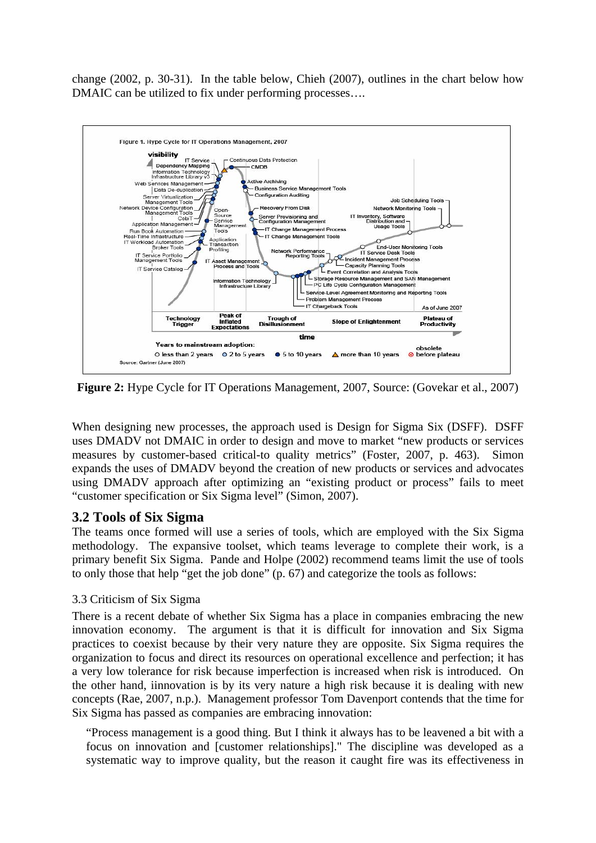change (2002, p. 30-31). In the table below, Chieh (2007), outlines in the chart below how DMAIC can be utilized to fix under performing processes….



**Figure 2:** Hype Cycle for IT Operations Management, 2007, Source: (Govekar et al., 2007)

When designing new processes, the approach used is Design for Sigma Six (DSFF). DSFF uses DMADV not DMAIC in order to design and move to market "new products or services measures by customer-based critical-to quality metrics" (Foster, 2007, p. 463). Simon expands the uses of DMADV beyond the creation of new products or services and advocates using DMADV approach after optimizing an "existing product or process" fails to meet "customer specification or Six Sigma level" (Simon, 2007).

#### **3.2 Tools of Six Sigma**

The teams once formed will use a series of tools, which are employed with the Six Sigma methodology. The expansive toolset, which teams leverage to complete their work, is a primary benefit Six Sigma. Pande and Holpe (2002) recommend teams limit the use of tools to only those that help "get the job done" (p. 67) and categorize the tools as follows:

#### 3.3 Criticism of Six Sigma

There is a recent debate of whether Six Sigma has a place in companies embracing the new innovation economy. The argument is that it is difficult for innovation and Six Sigma practices to coexist because by their very nature they are opposite. Six Sigma requires the organization to focus and direct its resources on operational excellence and perfection; it has a very low tolerance for risk because imperfection is increased when risk is introduced. On the other hand, iinnovation is by its very nature a high risk because it is dealing with new concepts (Rae, 2007, n.p.). Management professor Tom Davenport contends that the time for Six Sigma has passed as companies are embracing innovation:

"Process management is a good thing. But I think it always has to be leavened a bit with a focus on innovation and [customer relationships]." The discipline was developed as a systematic way to improve quality, but the reason it caught fire was its effectiveness in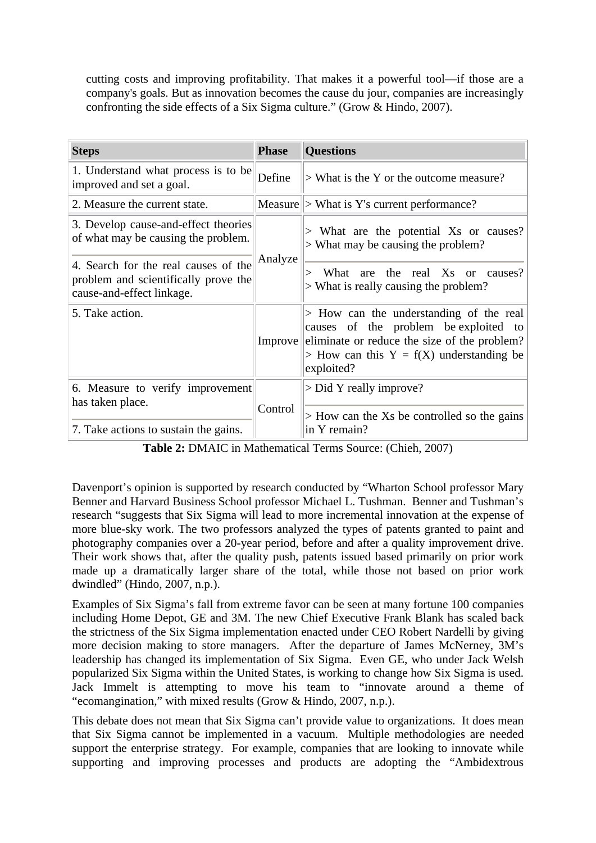cutting costs and improving profitability. That makes it a powerful tool—if those are a company's goals. But as innovation becomes the cause du jour, companies are increasingly confronting the side effects of a Six Sigma culture." (Grow & Hindo, 2007).

| <b>Steps</b>                                                                                              | <b>Phase</b> | <b>Questions</b>                                                                                                                                                                                     |
|-----------------------------------------------------------------------------------------------------------|--------------|------------------------------------------------------------------------------------------------------------------------------------------------------------------------------------------------------|
| 1. Understand what process is to be<br>improved and set a goal.                                           | Define       | > What is the Y or the outcome measure?                                                                                                                                                              |
| 2. Measure the current state.                                                                             |              | Measure $\triangleright$ What is Y's current performance?                                                                                                                                            |
| 3. Develop cause-and-effect theories<br>of what may be causing the problem.                               |              | > What are the potential Xs or causes?<br>> What may be causing the problem?                                                                                                                         |
| 4. Search for the real causes of the<br>problem and scientifically prove the<br>cause-and-effect linkage. | Analyze      | the real Xs or causes?<br>What<br>are<br>> What is really causing the problem?                                                                                                                       |
| 5. Take action.                                                                                           |              | > How can the understanding of the real<br>causes of the problem be exploited to<br>Improve eliminate or reduce the size of the problem?<br>$>$ How can this Y = f(X) understanding be<br>exploited? |
| 6. Measure to verify improvement<br>has taken place.                                                      | Control      | $>$ Did Y really improve?<br>$>$ How can the Xs be controlled so the gains                                                                                                                           |
| 7. Take actions to sustain the gains.                                                                     |              | in Y remain?                                                                                                                                                                                         |

**Table 2:** DMAIC in Mathematical Terms Source: (Chieh, 2007)

Davenport's opinion is supported by research conducted by "Wharton School professor Mary Benner and Harvard Business School professor Michael L. Tushman. Benner and Tushman's research "suggests that Six Sigma will lead to more incremental innovation at the expense of more blue-sky work. The two professors analyzed the types of patents granted to paint and photography companies over a 20-year period, before and after a quality improvement drive. Their work shows that, after the quality push, patents issued based primarily on prior work made up a dramatically larger share of the total, while those not based on prior work dwindled" (Hindo, 2007, n.p.).

Examples of Six Sigma's fall from extreme favor can be seen at many fortune 100 companies including Home Depot, GE and 3M. The new Chief Executive Frank Blank has scaled back the strictness of the Six Sigma implementation enacted under CEO Robert Nardelli by giving more decision making to store managers. After the departure of James McNerney, 3M's leadership has changed its implementation of Six Sigma. Even GE, who under Jack Welsh popularized Six Sigma within the United States, is working to change how Six Sigma is used. Jack Immelt is attempting to move his team to "innovate around a theme of "ecomangination," with mixed results (Grow & Hindo, 2007, n.p.).

This debate does not mean that Six Sigma can't provide value to organizations. It does mean that Six Sigma cannot be implemented in a vacuum. Multiple methodologies are needed support the enterprise strategy. For example, companies that are looking to innovate while supporting and improving processes and products are adopting the "Ambidextrous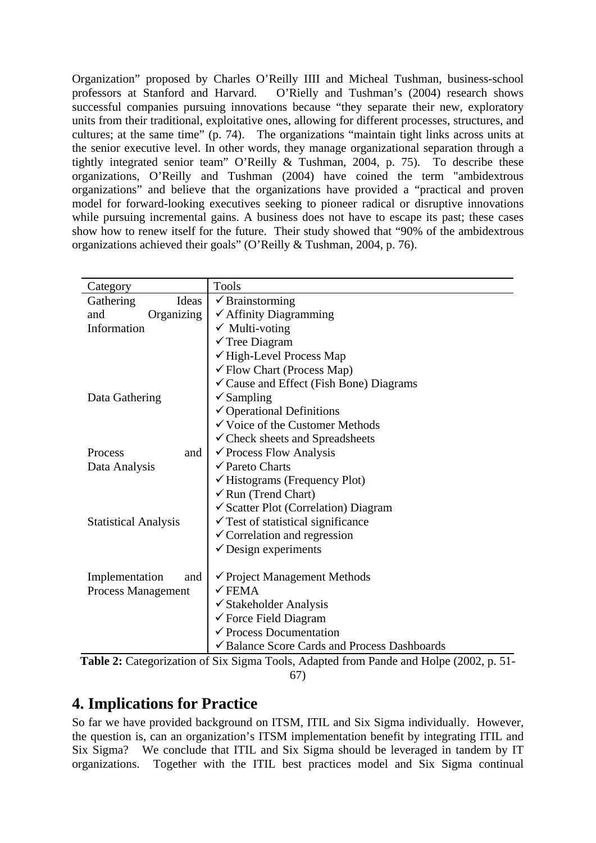Organization" proposed by Charles O'Reilly IIII and Micheal Tushman, business-school professors at Stanford and Harvard. O'Rielly and Tushman's (2004) research shows successful companies pursuing innovations because "they separate their new, exploratory units from their traditional, exploitative ones, allowing for different processes, structures, and cultures; at the same time" (p. 74). The organizations "maintain tight links across units at the senior executive level. In other words, they manage organizational separation through a tightly integrated senior team" O'Reilly & Tushman, 2004, p. 75). To describe these organizations, O'Reilly and Tushman (2004) have coined the term "ambidextrous organizations" and believe that the organizations have provided a "practical and proven model for forward-looking executives seeking to pioneer radical or disruptive innovations while pursuing incremental gains. A business does not have to escape its past; these cases show how to renew itself for the future. Their study showed that "90% of the ambidextrous organizations achieved their goals" (O'Reilly & Tushman, 2004, p. 76).

| Category                    | Tools                                              |  |
|-----------------------------|----------------------------------------------------|--|
| Ideas<br>Gathering          | $\checkmark$ Brainstorming                         |  |
| Organizing<br>and           | $\checkmark$ Affinity Diagramming                  |  |
| Information                 | $\checkmark$ Multi-voting                          |  |
|                             | $\checkmark$ Tree Diagram                          |  |
|                             | √High-Level Process Map                            |  |
|                             | √ Flow Chart (Process Map)                         |  |
|                             | $\checkmark$ Cause and Effect (Fish Bone) Diagrams |  |
| Data Gathering              | $\checkmark$ Sampling                              |  |
|                             | $\checkmark$ Operational Definitions               |  |
|                             | √ Voice of the Customer Methods                    |  |
|                             | $\checkmark$ Check sheets and Spreadsheets         |  |
| Process<br>and              | $\checkmark$ Process Flow Analysis                 |  |
| Data Analysis               | $\checkmark$ Pareto Charts                         |  |
|                             | $\checkmark$ Histograms (Frequency Plot)           |  |
|                             | $\checkmark$ Run (Trend Chart)                     |  |
|                             | ✔ Scatter Plot (Correlation) Diagram               |  |
| <b>Statistical Analysis</b> | $\checkmark$ Test of statistical significance      |  |
|                             | $\checkmark$ Correlation and regression            |  |
|                             | $\checkmark$ Design experiments                    |  |
|                             |                                                    |  |
| Implementation<br>and       | $\checkmark$ Project Management Methods            |  |
| Process Management          | $\checkmark$ FEMA                                  |  |
|                             | ✔ Stakeholder Analysis                             |  |
|                             | ✔ Force Field Diagram                              |  |
|                             | $\checkmark$ Process Documentation                 |  |
|                             | Balance Score Cards and Process Dashboards         |  |

**Table 2:** Categorization of Six Sigma Tools, Adapted from Pande and Holpe (2002, p. 51- 67)

### **4. Implications for Practice**

So far we have provided background on ITSM, ITIL and Six Sigma individually. However, the question is, can an organization's ITSM implementation benefit by integrating ITIL and Six Sigma? We conclude that ITIL and Six Sigma should be leveraged in tandem by IT organizations. Together with the ITIL best practices model and Six Sigma continual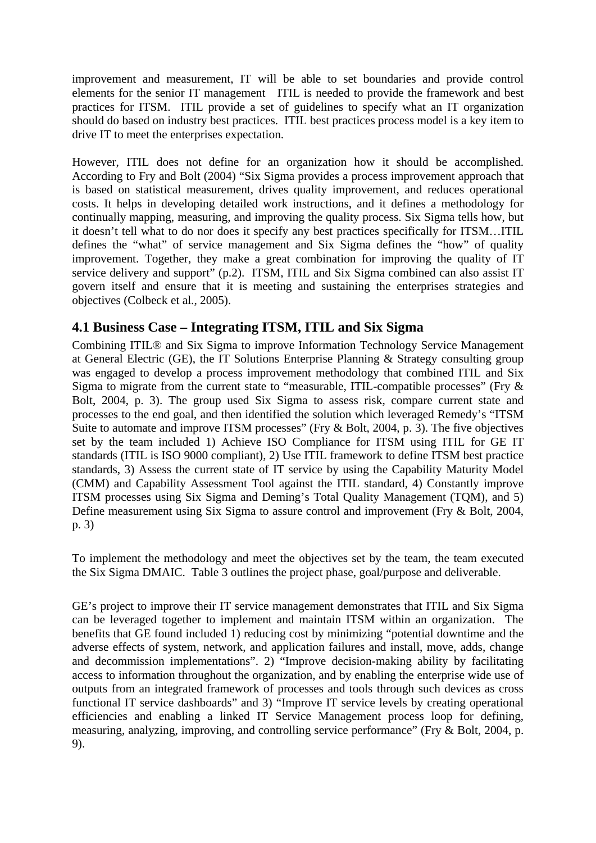improvement and measurement, IT will be able to set boundaries and provide control elements for the senior IT management ITIL is needed to provide the framework and best practices for ITSM. ITIL provide a set of guidelines to specify what an IT organization should do based on industry best practices. ITIL best practices process model is a key item to drive IT to meet the enterprises expectation.

However, ITIL does not define for an organization how it should be accomplished. According to Fry and Bolt (2004) "Six Sigma provides a process improvement approach that is based on statistical measurement, drives quality improvement, and reduces operational costs. It helps in developing detailed work instructions, and it defines a methodology for continually mapping, measuring, and improving the quality process. Six Sigma tells how, but it doesn't tell what to do nor does it specify any best practices specifically for ITSM…ITIL defines the "what" of service management and Six Sigma defines the "how" of quality improvement. Together, they make a great combination for improving the quality of IT service delivery and support" (p.2). ITSM, ITIL and Six Sigma combined can also assist IT govern itself and ensure that it is meeting and sustaining the enterprises strategies and objectives (Colbeck et al., 2005).

#### **4.1 Business Case – Integrating ITSM, ITIL and Six Sigma**

Combining ITIL® and Six Sigma to improve Information Technology Service Management at General Electric (GE), the IT Solutions Enterprise Planning & Strategy consulting group was engaged to develop a process improvement methodology that combined ITIL and Six Sigma to migrate from the current state to "measurable, ITIL-compatible processes" (Fry & Bolt, 2004, p. 3). The group used Six Sigma to assess risk, compare current state and processes to the end goal, and then identified the solution which leveraged Remedy's "ITSM Suite to automate and improve ITSM processes" (Fry & Bolt, 2004, p. 3). The five objectives set by the team included 1) Achieve ISO Compliance for ITSM using ITIL for GE IT standards (ITIL is ISO 9000 compliant), 2) Use ITIL framework to define ITSM best practice standards, 3) Assess the current state of IT service by using the Capability Maturity Model (CMM) and Capability Assessment Tool against the ITIL standard, 4) Constantly improve ITSM processes using Six Sigma and Deming's Total Quality Management (TQM), and 5) Define measurement using Six Sigma to assure control and improvement (Fry & Bolt, 2004, p. 3)

To implement the methodology and meet the objectives set by the team, the team executed the Six Sigma DMAIC. Table 3 outlines the project phase, goal/purpose and deliverable.

GE's project to improve their IT service management demonstrates that ITIL and Six Sigma can be leveraged together to implement and maintain ITSM within an organization. The benefits that GE found included 1) reducing cost by minimizing "potential downtime and the adverse effects of system, network, and application failures and install, move, adds, change and decommission implementations". 2) "Improve decision-making ability by facilitating access to information throughout the organization, and by enabling the enterprise wide use of outputs from an integrated framework of processes and tools through such devices as cross functional IT service dashboards" and 3) "Improve IT service levels by creating operational efficiencies and enabling a linked IT Service Management process loop for defining, measuring, analyzing, improving, and controlling service performance" (Fry & Bolt, 2004, p. 9).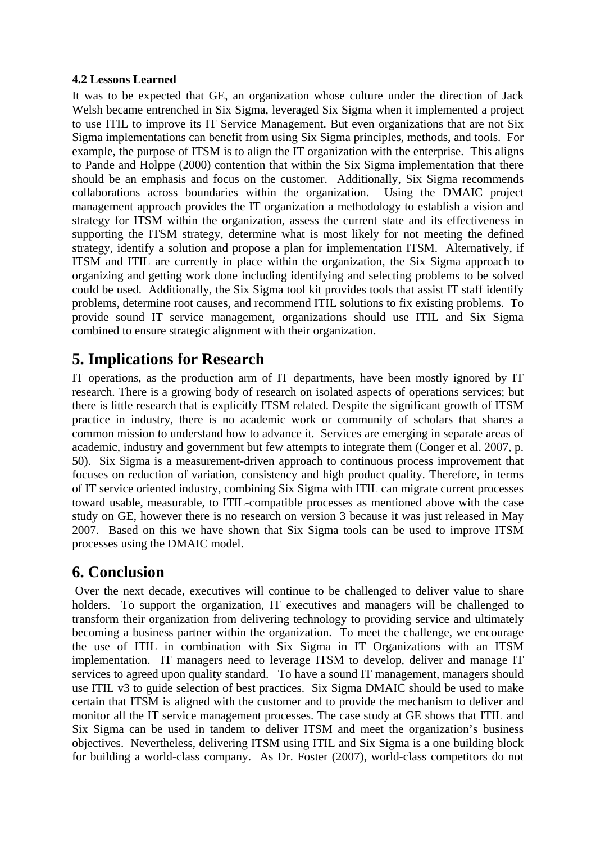#### **4.2 Lessons Learned**

It was to be expected that GE, an organization whose culture under the direction of Jack Welsh became entrenched in Six Sigma, leveraged Six Sigma when it implemented a project to use ITIL to improve its IT Service Management. But even organizations that are not Six Sigma implementations can benefit from using Six Sigma principles, methods, and tools. For example, the purpose of ITSM is to align the IT organization with the enterprise. This aligns to Pande and Holppe (2000) contention that within the Six Sigma implementation that there should be an emphasis and focus on the customer. Additionally, Six Sigma recommends collaborations across boundaries within the organization. Using the DMAIC project management approach provides the IT organization a methodology to establish a vision and strategy for ITSM within the organization, assess the current state and its effectiveness in supporting the ITSM strategy, determine what is most likely for not meeting the defined strategy, identify a solution and propose a plan for implementation ITSM. Alternatively, if ITSM and ITIL are currently in place within the organization, the Six Sigma approach to organizing and getting work done including identifying and selecting problems to be solved could be used. Additionally, the Six Sigma tool kit provides tools that assist IT staff identify problems, determine root causes, and recommend ITIL solutions to fix existing problems. To provide sound IT service management, organizations should use ITIL and Six Sigma combined to ensure strategic alignment with their organization.

### **5. Implications for Research**

IT operations, as the production arm of IT departments, have been mostly ignored by IT research. There is a growing body of research on isolated aspects of operations services; but there is little research that is explicitly ITSM related. Despite the significant growth of ITSM practice in industry, there is no academic work or community of scholars that shares a common mission to understand how to advance it. Services are emerging in separate areas of academic, industry and government but few attempts to integrate them (Conger et al. 2007, p. 50). Six Sigma is a measurement-driven approach to continuous process improvement that focuses on reduction of variation, consistency and high product quality. Therefore, in terms of IT service oriented industry, combining Six Sigma with ITIL can migrate current processes toward usable, measurable, to ITIL-compatible processes as mentioned above with the case study on GE, however there is no research on version 3 because it was just released in May 2007. Based on this we have shown that Six Sigma tools can be used to improve ITSM processes using the DMAIC model.

### **6. Conclusion**

 Over the next decade, executives will continue to be challenged to deliver value to share holders. To support the organization, IT executives and managers will be challenged to transform their organization from delivering technology to providing service and ultimately becoming a business partner within the organization. To meet the challenge, we encourage the use of ITIL in combination with Six Sigma in IT Organizations with an ITSM implementation. IT managers need to leverage ITSM to develop, deliver and manage IT services to agreed upon quality standard. To have a sound IT management, managers should use ITIL v3 to guide selection of best practices. Six Sigma DMAIC should be used to make certain that ITSM is aligned with the customer and to provide the mechanism to deliver and monitor all the IT service management processes. The case study at GE shows that ITIL and Six Sigma can be used in tandem to deliver ITSM and meet the organization's business objectives. Nevertheless, delivering ITSM using ITIL and Six Sigma is a one building block for building a world-class company. As Dr. Foster (2007), world-class competitors do not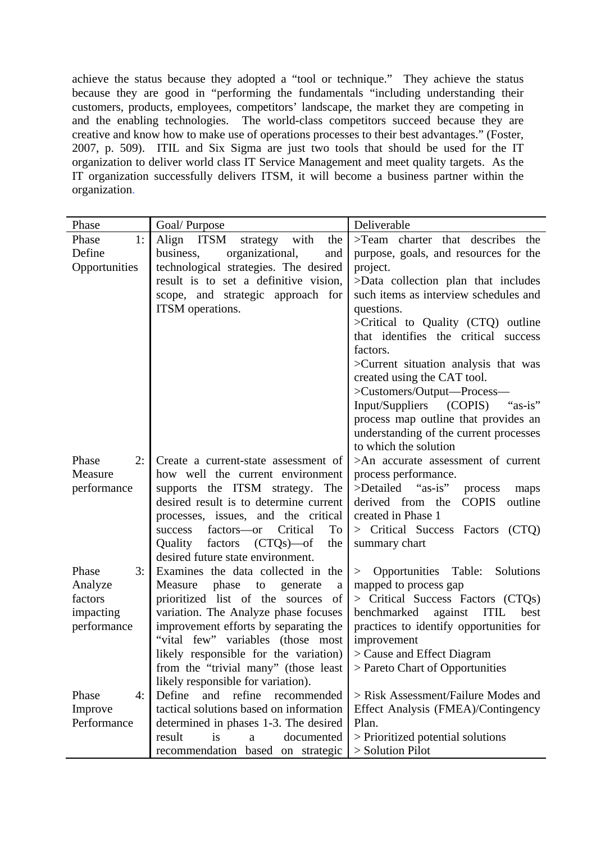achieve the status because they adopted a "tool or technique." They achieve the status because they are good in "performing the fundamentals "including understanding their customers, products, employees, competitors' landscape, the market they are competing in and the enabling technologies. The world-class competitors succeed because they are creative and know how to make use of operations processes to their best advantages." (Foster, 2007, p. 509). ITIL and Six Sigma are just two tools that should be used for the IT organization to deliver world class IT Service Management and meet quality targets. As the IT organization successfully delivers ITSM, it will become a business partner within the organization.

| Phase                  | Goal/Purpose                                                             | Deliverable                                                    |
|------------------------|--------------------------------------------------------------------------|----------------------------------------------------------------|
| Phase<br>1:            | ITSM<br>Align<br>strategy with<br>the                                    | >Team charter that describes the                               |
| Define                 | business,<br>organizational,<br>and                                      | purpose, goals, and resources for the                          |
| Opportunities          | technological strategies. The desired                                    | project.                                                       |
|                        | result is to set a definitive vision,                                    | >Data collection plan that includes                            |
|                        | scope, and strategic approach for                                        | such items as interview schedules and                          |
|                        | ITSM operations.                                                         | questions.                                                     |
|                        |                                                                          | $\triangleright$ Critical to Quality (CTQ) outline             |
|                        |                                                                          | that identifies the critical success                           |
|                        |                                                                          | factors.                                                       |
|                        |                                                                          | >Current situation analysis that was                           |
|                        |                                                                          | created using the CAT tool.                                    |
|                        |                                                                          | >Customers/Output-Process-                                     |
|                        |                                                                          | Input/Suppliers (COPIS)<br>"as-is"                             |
|                        |                                                                          | process map outline that provides an                           |
|                        |                                                                          | understanding of the current processes                         |
|                        |                                                                          | to which the solution                                          |
| Phase<br>2:<br>Measure | Create a current-state assessment of<br>how well the current environment | >An accurate assessment of current                             |
| performance            | supports the ITSM strategy.<br>The                                       | process performance.<br>>Detailed "as-is"                      |
|                        | desired result is to determine current                                   | process<br>maps<br>derived from the<br><b>COPIS</b><br>outline |
|                        | processes, issues, and the critical                                      | created in Phase 1                                             |
|                        | Critical<br>To<br>factors—or<br>success                                  | > Critical Success Factors (CTQ)                               |
|                        | Quality<br>factors $(CTQs)$ —of<br>the                                   | summary chart                                                  |
|                        | desired future state environment.                                        |                                                                |
| Phase<br>3:            | Examines the data collected in the                                       | Opportunities Table:<br>Solutions<br>$\geq$                    |
| Analyze                | phase to<br>Measure<br>generate<br>$\mathbf{a}$                          | mapped to process gap                                          |
| factors                | prioritized list of the sources of                                       | > Critical Success Factors (CTQs)                              |
| impacting              | variation. The Analyze phase focuses                                     | <b>ITIL</b><br>benchmarked<br>against<br>best                  |
| performance            | improvement efforts by separating the                                    | practices to identify opportunities for                        |
|                        | "vital few" variables (those most                                        | improvement                                                    |
|                        | likely responsible for the variation)                                    | > Cause and Effect Diagram                                     |
|                        | from the "trivial many" (those least                                     | > Pareto Chart of Opportunities                                |
|                        | likely responsible for variation).                                       |                                                                |
| Phase<br>4:            | Define<br>and<br>refine<br>recommended                                   | > Risk Assessment/Failure Modes and                            |
| Improve                | tactical solutions based on information                                  | Effect Analysis (FMEA)/Contingency                             |
| Performance            | determined in phases 1-3. The desired                                    | Plan.                                                          |
|                        | is<br>documented<br>result<br>a                                          | > Prioritized potential solutions                              |
|                        | recommendation based on strategic                                        | > Solution Pilot                                               |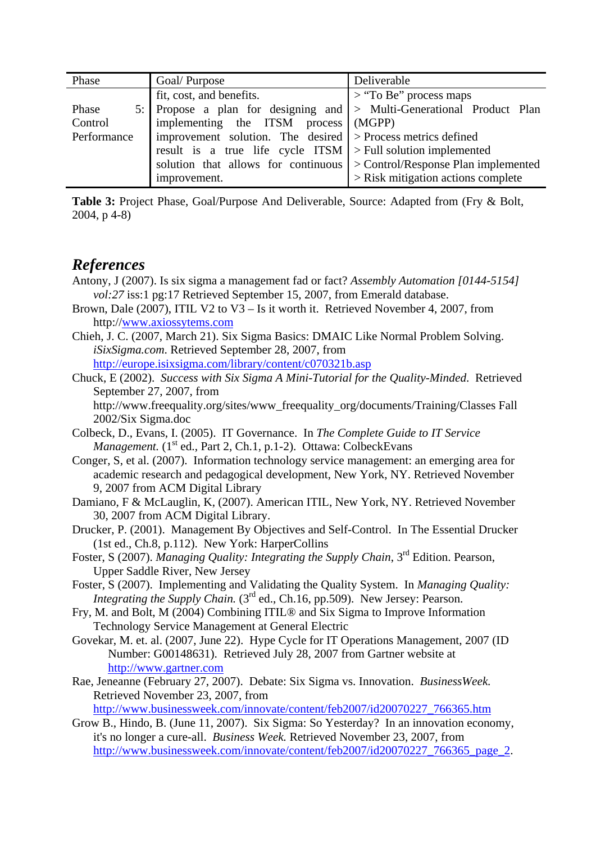| Phase       | Goal/Purpose                                                                  | Deliverable                                                                     |
|-------------|-------------------------------------------------------------------------------|---------------------------------------------------------------------------------|
|             | fit, cost, and benefits.                                                      | $>$ "To Be" process maps                                                        |
| Phase       | 5: Propose a plan for designing and $\vert$ > Multi-Generational Product Plan |                                                                                 |
| Control     | implementing the ITSM process (MGPP)                                          |                                                                                 |
| Performance | improvement solution. The desired $\geq$ Process metrics defined              |                                                                                 |
|             | result is a true life cycle $ITSM$ $\triangleright$ Full solution implemented |                                                                                 |
|             |                                                                               | solution that allows for continuous $\vert$ > Control/Response Plan implemented |
|             | improvement.                                                                  | $>$ Risk mitigation actions complete                                            |

**Table 3:** Project Phase, Goal/Purpose And Deliverable, Source: Adapted from (Fry & Bolt, 2004, p 4-8)

#### *References*

- Antony, J (2007). Is six sigma a management fad or fact? *Assembly Automation [0144-5154] vol:27* iss:1 pg:17 Retrieved September 15, 2007, from Emerald database.
- Brown, Dale (2007), ITIL V2 to V3 Is it worth it. Retrieved November 4, 2007, from http://www.axiossytems.com
- Chieh, J. C. (2007, March 21). Six Sigma Basics: DMAIC Like Normal Problem Solving. *iSixSigma.com*. Retrieved September 28, 2007, from http://europe.isixsigma.com/library/content/c070321b.asp
- Chuck, E (2002). *Success with Six Sigma A Mini-Tutorial for the Quality-Minded*. Retrieved September 27, 2007, from http://www.freequality.org/sites/www\_freequality\_org/documents/Training/Classes Fall 2002/Six Sigma.doc
- Colbeck, D., Evans, I. (2005). IT Governance. In *The Complete Guide to IT Service Management.* (1<sup>st</sup> ed., Part 2, Ch.1, p.1-2). Ottawa: ColbeckEvans
- Conger, S, et al. (2007). Information technology service management: an emerging area for academic research and pedagogical development, New York, NY. Retrieved November 9, 2007 from ACM Digital Library
- Damiano, F & McLauglin, K, (2007). American ITIL, New York, NY. Retrieved November 30, 2007 from ACM Digital Library.
- Drucker, P. (2001). Management By Objectives and Self-Control. In The Essential Drucker (1st ed., Ch.8, p.112). New York: HarperCollins
- Foster, S (2007). *Managing Quality: Integrating the Supply Chain*, 3rd Edition. Pearson, Upper Saddle River, New Jersey
- Foster, S (2007). Implementing and Validating the Quality System. In *Managing Quality: Integrating the Supply Chain.* (3<sup>rd</sup> ed., Ch.16, pp.509). New Jersey: Pearson.
- Fry, M. and Bolt, M (2004) Combining ITIL® and Six Sigma to Improve Information Technology Service Management at General Electric
- Govekar, M. et. al. (2007, June 22). Hype Cycle for IT Operations Management, 2007 (ID Number: G00148631). Retrieved July 28, 2007 from Gartner website at http://www.gartner.com
- Rae, Jeneanne (February 27, 2007). Debate: Six Sigma vs. Innovation. *BusinessWeek.*  Retrieved November 23, 2007, from http://www.businessweek.com/innovate/content/feb2007/id20070227\_766365.htm
- Grow B., Hindo, B. (June 11, 2007). Six Sigma: So Yesterday? In an innovation economy, it's no longer a cure-all. *Business Week.* Retrieved November 23, 2007, from http://www.businessweek.com/innovate/content/feb2007/id20070227\_766365\_page\_2.